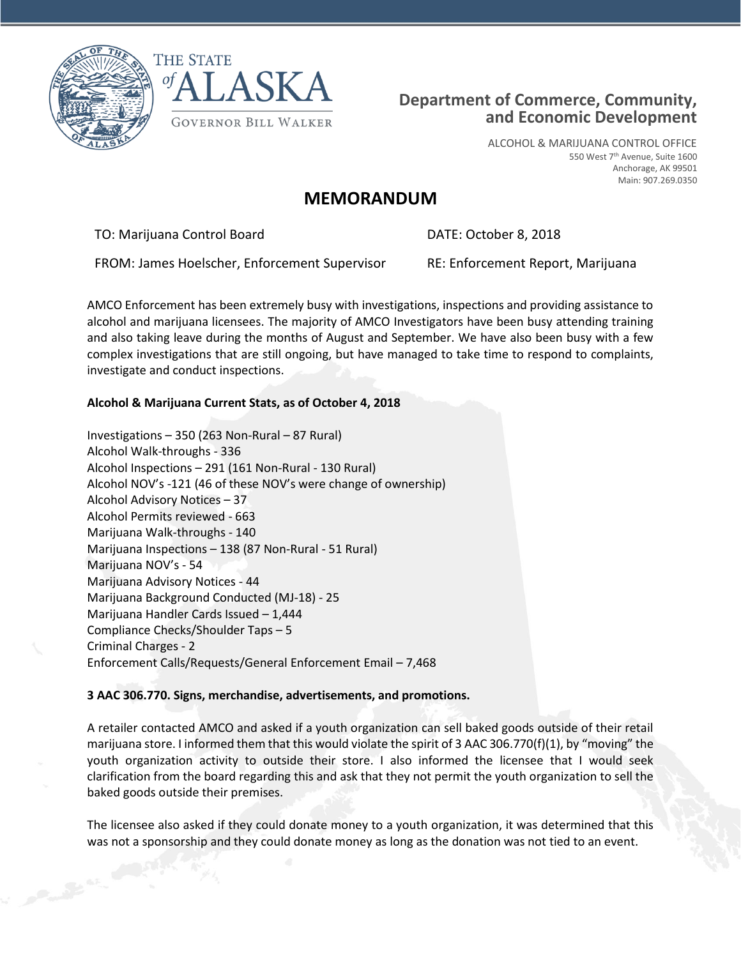



## **Department of Commerce, Community, and Economic Development**

ALCOHOL & MARIJUANA CONTROL OFFICE 550 West 7th Avenue, Suite 1600 Anchorage, AK 99501 Main: 907.269.0350

## **MEMORANDUM**

TO: Marijuana Control Board DATE: October 8, 2018

FROM: James Hoelscher, Enforcement Supervisor RE: Enforcement Report, Marijuana

AMCO Enforcement has been extremely busy with investigations, inspections and providing assistance to alcohol and marijuana licensees. The majority of AMCO Investigators have been busy attending training and also taking leave during the months of August and September. We have also been busy with a few complex investigations that are still ongoing, but have managed to take time to respond to complaints, investigate and conduct inspections.

## **Alcohol & Marijuana Current Stats, as of October 4, 2018**

Investigations – 350 (263 Non-Rural – 87 Rural) Alcohol Walk-throughs - 336 Alcohol Inspections – 291 (161 Non-Rural - 130 Rural) Alcohol NOV's -121 (46 of these NOV's were change of ownership) Alcohol Advisory Notices – 37 Alcohol Permits reviewed - 663 Marijuana Walk-throughs - 140 Marijuana Inspections – 138 (87 Non-Rural - 51 Rural) Marijuana NOV's - 54 Marijuana Advisory Notices - 44 Marijuana Background Conducted (MJ-18) - 25 Marijuana Handler Cards Issued – 1,444 Compliance Checks/Shoulder Taps – 5 Criminal Charges - 2 Enforcement Calls/Requests/General Enforcement Email – 7,468

## **3 AAC 306.770. Signs, merchandise, advertisements, and promotions.**

A retailer contacted AMCO and asked if a youth organization can sell baked goods outside of their retail marijuana store. I informed them that this would violate the spirit of 3 AAC 306.770(f)(1), by "moving" the youth organization activity to outside their store. I also informed the licensee that I would seek clarification from the board regarding this and ask that they not permit the youth organization to sell the baked goods outside their premises.

The licensee also asked if they could donate money to a youth organization, it was determined that this was not a sponsorship and they could donate money as long as the donation was not tied to an event.